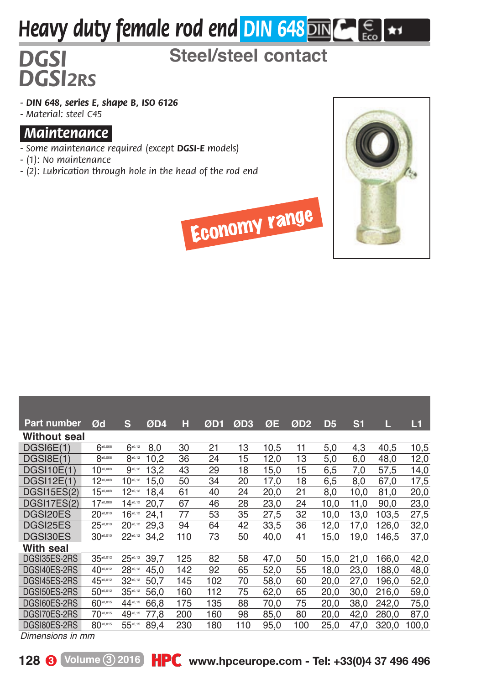## *Heavy duty female rod end DIN 648* MM

## *DGSI* **Steel/steel contact**

*- DIN 648, series E, shape B, ISO 6126 - Material: steel C45*

*.Maintenance.*

*DGSI2RS*

- *Some maintenance required (except DGSI-E models)*
- *(1): No maintenance*
- *(2): Lubrication through hole in the head of the rod end*



| <b>Economy range</b> |
|----------------------|
|----------------------|

| <b>Part number</b>  | Ød            | s            | ØD4  | н   | ØD1 | ØD3 | ØE   | ØD <sub>2</sub> | D5   | S <sub>1</sub> | L     | L1    |
|---------------------|---------------|--------------|------|-----|-----|-----|------|-----------------|------|----------------|-------|-------|
| <b>Without seal</b> |               |              |      |     |     |     |      |                 |      |                |       |       |
| DGSI6E(1)           | $6 - 0.008$   | $6^{40,12}$  | 8.0  | 30  | 21  | 13  | 10.5 | 11              | 5,0  | 4,3            | 40.5  | 10,5  |
| DGSI8E(1)           | 8-0,000       | 8.0.12       | 10.2 | 36  | 24  | 15  | 12,0 | 13              | 5,0  | 6,0            | 48,0  | 12,0  |
| DGSI10E(1)          | $10^{0.008}$  | $9^{40,12}$  | 13.2 | 43  | 29  | 18  | 15,0 | 15              | 6.5  | 7,0            | 57.5  | 14,0  |
| DGSI12E(1)          | $12^{0,000}$  | $10^{40,12}$ | 15.0 | 50  | 34  | 20  | 17.0 | 18              | 6.5  | 8.0            | 67.0  | 17,5  |
| <b>DGSI15ES(2)</b>  | $15 - 0.008$  | $12^{40,12}$ | 18.4 | 61  | 40  | 24  | 20.0 | 21              | 8.0  | 10.0           | 81,0  | 20,0  |
| DGSI17ES(2)         | $17 - 0.008$  | $14^{40,12}$ | 20.7 | 67  | 46  | 28  | 23.0 | 24              | 10.0 | 11.0           | 90.0  | 23,0  |
| DGSI20ES            | $20 - 0.010$  | $16^{40,12}$ | 24,1 | 77  | 53  | 35  | 27.5 | 32              | 10,0 | 13.0           | 103.5 | 27,5  |
| DGSI25ES            | 25-0.010      | $20^{40,12}$ | 29.3 | 94  | 64  | 42  | 33.5 | 36              | 12.0 | 17.0           | 126.0 | 32,0  |
| DGSI30ES            | $30^{40,010}$ | $22^{40,12}$ | 34,2 | 110 | 73  | 50  | 40,0 | 41              | 15,0 | 19,0           | 146.5 | 37,0  |
| With seal           |               |              |      |     |     |     |      |                 |      |                |       |       |
| DGSI35ES-2RS        | $35^{+0.012}$ | $25^{40,12}$ | 39.7 | 125 | 82  | 58  | 47.0 | 50              | 15.0 | 21.0           | 166.0 | 42,0  |
| DGSI40ES-2RS        | 40.012        | 28-0.12      | 45.0 | 142 | 92  | 65  | 52.0 | 55              | 18.0 | 23.0           | 188.0 | 48,0  |
| DGSI45ES-2RS        | 45-0.012      | 32.0.12      | 50.7 | 145 | 102 | 70  | 58.0 | 60              | 20.0 | 27.0           | 196.0 | 52,0  |
| DGSI50ES-2RS        | 50-0.012      | $35^{-.12}$  | 56.0 | 160 | 112 | 75  | 62,0 | 65              | 20.0 | 30,0           | 216,0 | 59,0  |
| DGSI60ES-2RS        | 60-0.015      | 44-0.15      | 66.8 | 175 | 135 | 88  | 70,0 | 75              | 20,0 | 38,0           | 242,0 | 75,0  |
| DGSI70ES-2RS        | 70-0.015      | 49-0.15      | 77.8 | 200 | 160 | 98  | 85,0 | 80              | 20,0 | 42.0           | 280.0 | 87,0  |
| DGSI80ES-2RS        | 80-0.015      | 55-0.15      | 89.4 | 230 | 180 | 110 | 95,0 | 100             | 25.0 | 47.0           | 320,0 | 100,0 |

*Dimensions in mm*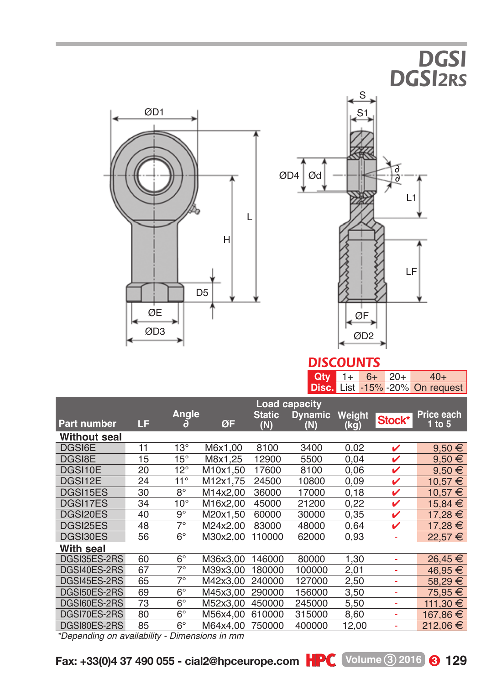





## *DISCOUNTS*

|  |  | $Qty$ 1+ 6+ 20+ 40+                    |  |  |  |
|--|--|----------------------------------------|--|--|--|
|  |  | <b>Disc.</b> List -15% -20% On request |  |  |  |

|                    |                   |              |          | Load capacity        |                       |                |        |                          |
|--------------------|-------------------|--------------|----------|----------------------|-----------------------|----------------|--------|--------------------------|
| <b>Part number</b> | LF                | Angle<br>a   | ØF       | <b>Static</b><br>(N) | <b>Dynamic</b><br>(N) | Weight<br>(kg) | Stock* | Price each<br>$1$ to $5$ |
| Without seal       |                   |              |          |                      |                       |                |        |                          |
| DGSI6E             | 11                | $13^{\circ}$ | M6x1,00  | 8100                 | 3400                  | 0,02           | ✓      | $9.50 \in$               |
| DGSI8E             | 15                | $15^{\circ}$ | M8x1.25  | 12900                | 5500                  | 0.04           | v      | $9,50 \in$               |
| DGSI10E            | 20                | $12^{\circ}$ | M10x1.50 | 17600                | 8100                  | 0.06           | v      | $9.50 \in$               |
| DGSI12E            | 24                | $11^{\circ}$ | M12x1.75 | 24500                | 10800                 | 0.09           | v      | 10.57 €                  |
| DGSI15ES           | 30                | $8^{\circ}$  | M14x2.00 | 36000                | 17000                 | 0.18           | v      | 10.57 €                  |
| DGSI17ES           | 34                | $10^{\circ}$ | M16x2.00 | 45000                | 21200                 | 0,22           | v      | 15.84 €                  |
| DGSI20ES           | 40                | $9^{\circ}$  | M20x1,50 | 60000                | 30000                 | 0,35           | v      | 17,28 €                  |
| DGSI25ES           | 48                | $7^\circ$    | M24x2.00 | 83000                | 48000                 | 0.64           | ✓      | 17.28 €                  |
| DGSI30ES           | 56                | $6^{\circ}$  | M30x2.00 | 110000               | 62000                 | 0,93           |        | 22.57 €                  |
| With seal          |                   |              |          |                      |                       |                |        |                          |
| DGSI35ES-2RS       | 60                | $6^\circ$    | M36x3.00 | 146000               | 80000                 | 1.30           | ٠      | $26.45 \in$              |
| DGSI40ES-2RS       | 67                | $7^\circ$    | M39x3.00 | 180000               | 100000                | 2,01           | ٠      | 46,95€                   |
| DGSI45ES-2RS       | 65                | $7^\circ$    | M42x3.00 | 240000               | 127000                | 2,50           | ٠      | 58.29 €                  |
| DGSI50ES-2RS       | 69                | $6^{\circ}$  | M45x3,00 | 290000               | 156000                | 3,50           | ۰      | 75.95 €                  |
| DGSI60ES-2RS       | 73                | $6^{\circ}$  | M52x3.00 | 450000               | 245000                | 5,50           | ٠      | 111,30 €                 |
| DGSI70ES-2RS       | 80                | $6^{\circ}$  | M56x4.00 | 610000               | 315000                | 8,60           | ٠      | 167.86 €                 |
| DGSI80ES-2RS       | 85                | $6^{\circ}$  | M64x4.00 | 750000               | 400000                | 12.00          |        | 212.06 €                 |
|                    | $\cdots$ $\cdots$ | - -          |          |                      |                       |                |        |                          |

*\*Depending on availability - Dimensions in mm*